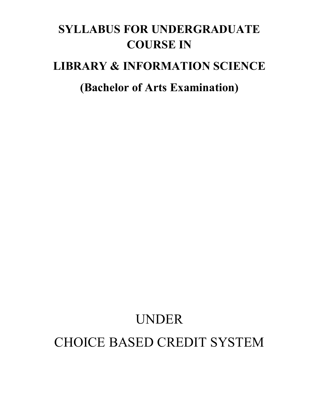# **SYLLABUS FOR UNDERGRADUATE COURSE IN**

# **LIBRARY & INFORMATION SCIENCE**

# **(Bachelor of Arts Examination)**

# UNDER CHOICE BASED CREDIT SYSTEM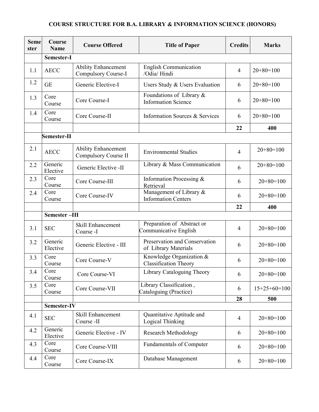# **COURSE STRUCTURE FOR B.A. LIBRARY & INFORMATION SCIENCE (HONORS)**

| <b>Seme</b><br>ster | <b>Course</b><br><b>Name</b> | <b>Course Offered</b>                                     | <b>Title of Paper</b>                                     | <b>Credits</b> | <b>Marks</b>   |  |  |  |  |  |
|---------------------|------------------------------|-----------------------------------------------------------|-----------------------------------------------------------|----------------|----------------|--|--|--|--|--|
|                     | Semester-I                   |                                                           |                                                           |                |                |  |  |  |  |  |
| 1.1                 | <b>AECC</b>                  | <b>Ability Enhancement</b><br><b>Compulsory Course-I</b>  | English Communication<br>/Odia/ Hindi                     | $\overline{4}$ | $20+80=100$    |  |  |  |  |  |
| 1.2                 | <b>GE</b>                    | Generic Elective-I                                        | Users Study & Users Evaluation                            | 6              | $20+80=100$    |  |  |  |  |  |
| 1.3                 | Core<br>Course               | Core Course-I                                             | Foundations of Library $\&$<br><b>Information Science</b> | 6              | $20+80=100$    |  |  |  |  |  |
| 1.4                 | Core<br>Course               | Core Course-II                                            | Information Sources & Services                            | 6              | $20+80=100$    |  |  |  |  |  |
|                     |                              |                                                           |                                                           | 22             | 400            |  |  |  |  |  |
|                     | Semester-II                  |                                                           |                                                           |                |                |  |  |  |  |  |
| 2.1                 | <b>AECC</b>                  | <b>Ability Enhancement</b><br><b>Compulsory Course II</b> | <b>Environmental Studies</b>                              | $\overline{4}$ | $20+80=100$    |  |  |  |  |  |
| 2.2                 | Generic<br>Elective          | Generic Elective -II                                      | Library & Mass Communication                              | 6              | $20+80=100$    |  |  |  |  |  |
| 2.3                 | Core<br>Course               | Core Course-III                                           | Information Processing &<br>Retrieval                     | 6              | $20+80=100$    |  |  |  |  |  |
| 2.4                 | Core<br>Course               | Core Course-IV                                            | Management of Library &<br><b>Information Centers</b>     | 6              | $20+80=100$    |  |  |  |  |  |
|                     |                              |                                                           |                                                           | 22             | 400            |  |  |  |  |  |
|                     | Semester-III                 |                                                           |                                                           |                |                |  |  |  |  |  |
| 3.1                 | <b>SEC</b>                   | Skill Enhancement<br>Course -I                            | Preparation of Abstract or<br>Communicative English       | $\overline{4}$ | $20+80=100$    |  |  |  |  |  |
| 3.2                 | Generic<br>Elective          | Generic Elective - III                                    | Preservation and Conservation<br>of Library Materials     | 6              | $20+80=100$    |  |  |  |  |  |
| 3.3                 | Core<br>Course               | Core Course-V                                             | Knowledge Organization &<br><b>Classification Theory</b>  | 6              | $20+80=100$    |  |  |  |  |  |
| 3.4                 | Core<br>Course               | Core Course-VI                                            | Library Cataloguing Theory                                | 6              | $20+80=100$    |  |  |  |  |  |
| 3.5                 | Core<br>Course               | Core Course-VII                                           | Library Classification,<br>Cataloguing (Practice)         | 6              | $15+25+60=100$ |  |  |  |  |  |
|                     |                              |                                                           |                                                           | 28             | 500            |  |  |  |  |  |
|                     | Semester-IV                  |                                                           |                                                           |                |                |  |  |  |  |  |
| 4.1                 | <b>SEC</b>                   | Skill Enhancement<br>Course -II                           | Quantitative Aptitude and<br>Logical Thinking             | 4              | $20+80=100$    |  |  |  |  |  |
| 4.2                 | Generic<br>Elective          | Generic Elective - IV                                     | <b>Research Methodology</b>                               | 6              | $20+80=100$    |  |  |  |  |  |
| 4.3                 | Core<br>Course               | Core Course-VIII                                          | <b>Fundamentals of Computer</b>                           | 6              | $20+80=100$    |  |  |  |  |  |
| 4.4                 | Core<br>Course               | Core Course-IX                                            | Database Management                                       | 6              | $20+80=100$    |  |  |  |  |  |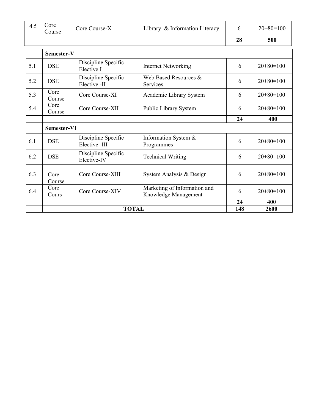| 4.5 | Core<br>Course | Core Course-X                        | Library & Information Literacy                       | 6  | $20+80=100$ |  |  |  |  |  |
|-----|----------------|--------------------------------------|------------------------------------------------------|----|-------------|--|--|--|--|--|
|     |                |                                      |                                                      | 28 | 500         |  |  |  |  |  |
|     | Semester-V     |                                      |                                                      |    |             |  |  |  |  |  |
| 5.1 | <b>DSE</b>     | Discipline Specific<br>Elective I    | <b>Internet Networking</b>                           | 6  | $20+80=100$ |  |  |  |  |  |
| 5.2 | <b>DSE</b>     | Discipline Specific<br>Elective -II  | Web Based Resources &<br>Services                    | 6  | $20+80=100$ |  |  |  |  |  |
| 5.3 | Core<br>Course | Core Course-XI                       | Academic Library System                              | 6  | $20+80=100$ |  |  |  |  |  |
| 5.4 | Core<br>Course | Core Course-XII                      | Public Library System                                | 6  | $20+80=100$ |  |  |  |  |  |
|     |                |                                      |                                                      | 24 | 400         |  |  |  |  |  |
|     | Semester-VI    |                                      |                                                      |    |             |  |  |  |  |  |
| 6.1 |                |                                      |                                                      |    |             |  |  |  |  |  |
|     | <b>DSE</b>     | Discipline Specific<br>Elective -III | Information System &<br>Programmes                   | 6  | $20+80=100$ |  |  |  |  |  |
| 6.2 | <b>DSE</b>     | Discipline Specific<br>Elective-IV   | <b>Technical Writing</b>                             | 6  | $20+80=100$ |  |  |  |  |  |
| 6.3 | Core<br>Course | Core Course-XIII                     | System Analysis & Design                             | 6  | $20+80=100$ |  |  |  |  |  |
| 6.4 | Core<br>Cours  | Core Course-XIV                      | Marketing of Information and<br>Knowledge Management | 6  | $20+80=100$ |  |  |  |  |  |
|     |                |                                      |                                                      | 24 | 400         |  |  |  |  |  |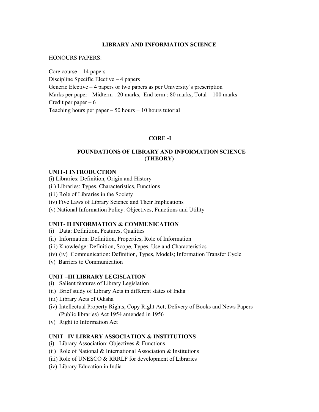#### **LIBRARY AND INFORMATION SCIENCE**

#### HONOURS PAPERS:

Core course – 14 papers Discipline Specific Elective – 4 papers Generic Elective – 4 papers or two papers as per University's prescription Marks per paper - Midterm : 20 marks, End term : 80 marks, Total – 100 marks Credit per paper  $-6$ Teaching hours per paper  $-50$  hours  $+10$  hours tutorial

#### **CORE -I**

#### **FOUNDATIONS OF LIBRARY AND INFORMATION SCIENCE (THEORY)**

#### **UNIT-I INTRODUCTION**

- (i) Libraries: Definition, Origin and History
- (ii) Libraries: Types, Characteristics, Functions
- (iii) Role of Libraries in the Society
- (iv) Five Laws of Library Science and Their Implications
- (v) National Information Policy: Objectives, Functions and Utility

#### **UNIT- II INFORMATION & COMMUNICATION**

- (i) Data: Definition, Features, Qualities
- (ii) Information: Definition, Properties, Role of Information
- (iii) Knowledge: Definition, Scope, Types, Use and Characteristics
- (iv) (iv) Communication: Definition, Types, Models; Information Transfer Cycle
- (v) Barriers to Communication

#### **UNIT –III LIBRARY LEGISLATION**

- (i) Salient features of Library Legislation
- (ii) Brief study of Library Acts in different states of India
- (iii) Library Acts of Odisha
- (iv) Intellectual Property Rights, Copy Right Act; Delivery of Books and News Papers (Public libraries) Act 1954 amended in 1956
- (v) Right to Information Act

#### **UNIT –IV LIBRARY ASSOCIATION & INSTITUTIONS**

- (i) Library Association: Objectives & Functions
- (ii) Role of National & International Association & Institutions
- (iii) Role of UNESCO & RRRLF for development of Libraries
- (iv) Library Education in India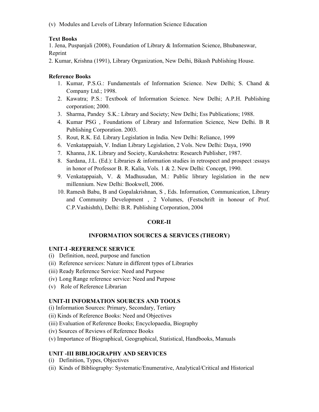(v) Modules and Levels of Library Information Science Education

# **Text Books**

1. Jena, Puspanjali (2008), Foundation of Library & Information Science, Bhubaneswar, Reprint

2. Kumar, Krishna (1991), Library Organization, New Delhi, Bikash Publishing House.

# **Reference Books**

- 1. Kumar, P.S.G.: Fundamentals of Information Science. New Delhi; S. Chand & Company Ltd.; 1998.
- 2. Kawatra; P.S.: Textbook of Information Science. New Delhi; A.P.H. Publishing corporation; 2000.
- 3. Sharma, Pandey S.K.: Library and Society; New Delhi; Ess Publications; 1988.
- 4. Kumar PSG , Foundations of Library and Information Science, New Delhi. B R Publishing Corporation. 2003.
- 5. Rout, R.K. Ed. Library Legislation in India. New Delhi: Reliance, 1999
- 6. Venkatappaiah, V. Indian Library Legislation, 2 Vols. New Delhi: Daya, 1990
- 7. Khanna, J.K. Library and Society, Kurukshetra: Research Publisher, 1987.
- 8. Sardana, J.L. (Ed.): Libraries & information studies in retrospect and prospect :essays in honor of Professor B. R. Kalia, Vols. 1 & 2. New Delhi: Concept, 1990.
- 9. Venkatappaiah, V. & Madhusudan, M.: Public library legislation in the new millennium. New Delhi: Bookwell, 2006.
- 10. Ramesh Babu, B and Gopalakrishnan, S , Eds. Information, Communication, Library and Community Development , 2 Volumes, (Festschrift in honour of Prof. C.P.Vashishth), Delhi: B.R. Publishing Corporation, 2004

# **CORE-II**

#### **INFORMATION SOURCES & SERVICES (THEORY)**

#### **UNIT-I -REFERENCE SERVICE**

- (i) Definition, need, purpose and function
- (ii) Reference services: Nature in different types of Libraries
- (iii) Ready Reference Service: Need and Purpose
- (iv) Long Range reference service: Need and Purpose
- (v) Role of Reference Librarian

#### **UNIT-II INFORMATION SOURCES AND TOOLS**

- (i) Information Sources: Primary, Secondary, Tertiary
- (ii) Kinds of Reference Books: Need and Objectives
- (iii) Evaluation of Reference Books; Encyclopaedia, Biography
- (iv) Sources of Reviews of Reference Books
- (v) Importance of Biographical, Geographical, Statistical, Handbooks, Manuals

# **UNIT -III BIBLIOGRAPHY AND SERVICES**

- (i) Definition, Types, Objectives
- (ii) Kinds of Bibliography: Systematic/Enumerative, Analytical/Critical and Historical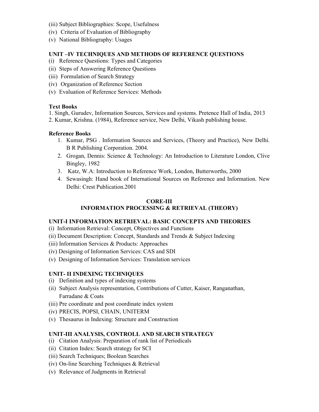- (iii) Subject Bibliographies: Scope, Usefulness
- (iv) Criteria of Evaluation of Bibliography
- (v) National Bibliography: Usages

# **UNIT –IV TECHNIQUES AND METHODS OF REFERENCE QUESTIONS**

- (i) Reference Questions: Types and Categories
- (ii) Steps of Answering Reference Questions
- (iii) Formulation of Search Strategy
- (iv) Organization of Reference Section
- (v) Evaluation of Reference Services: Methods

#### **Text Books**

1. Singh, Gurudev, Information Sources, Services and systems. Pretence Hall of India, 2013

2. Kumar, Krishna. (1984), Reference service, New Delhi, Vikash publishing house.

# **Reference Books**

- 1. Kumar, PSG . Information Sources and Services, (Theory and Practice), New Delhi. B R Publishing Corporation. 2004.
- 2. Grogan, Dennis: Science & Technology: An Introduction to Literature London, Clive Bingley, 1982
- 3. Katz, W.A: Introduction to Reference Work, London, Butterworths, 2000
- 4. Sewasingh: Hand book of International Sources on Reference and Information. New Delhi: Crest Publication.2001

#### **CORE-III INFORMATION PROCESSING & RETRIEVAL (THEORY)**

# **UNIT-I INFORMATION RETRIEVAL: BASIC CONCEPTS AND THEORIES**

- (i) Information Retrieval: Concept, Objectives and Functions
- (ii) Document Description: Concept, Standards and Trends & Subject Indexing
- (iii) Information Services & Products: Approaches
- (iv) Designing of Information Services: CAS and SDI
- (v) Designing of Information Services: Translation services

# **UNIT- II INDEXING TECHNIQUES**

- (i) Definition and types of indexing systems
- (ii) Subject Analysis representation, Contributions of Cutter, Kaiser, Ranganathan, Farradane & Coats
- (iii) Pre coordinate and post coordinate index system
- (iv) PRECIS, POPSI, CHAIN, UNITERM
- (v) Thesaurus in Indexing: Structure and Construction

# **UNIT-III ANALYSIS, CONTROLL AND SEARCH STRATEGY**

- (i) Citation Analysis: Preparation of rank list of Periodicals
- (ii) Citation Index: Search strategy for SCI
- (iii) Search Techniques; Boolean Searches
- (iv) On-line Searching Techniques & Retrieval
- (v) Relevance of Judgments in Retrieval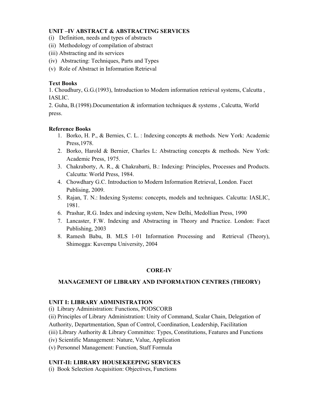#### **UNIT –IV ABSTRACT & ABSTRACTING SERVICES**

- (i) Definition, needs and types of abstracts
- (ii) Methodology of compilation of abstract
- (iii) Abstracting and its services
- (iv) Abstracting: Techniques, Parts and Types
- (v) Role of Abstract in Information Retrieval

# **Text Books**

1. Choudhury, G.G.(1993), Introduction to Modern information retrieval systems, Calcutta , IASLIC.

2. Guha, B.(1998).Documentation & information techniques & systems , Calcutta, World press.

# **Reference Books**

- 1. Borko, H. P., & Bernies, C. L. : Indexing concepts & methods*.* New York: Academic Press,1978.
- 2. Borko, Harold & Bernier, Charles L: Abstracting concepts & methods. New York: Academic Press, 1975.
- 3. Chakraborty, A. R., & Chakrabarti, B.: Indexing: Principles, Processes and Products. Calcutta: World Press, 1984.
- 4. Chowdhary G.C. Introduction to Modern Information Retrieval, London. Facet Publising, 2009.
- 5. Rajan, T. N.: Indexing Systems: concepts, models and techniques. Calcutta: IASLIC, 1981.
- 6. Prashar, R.G. Index and indexing system, New Delhi, Medollian Press, 1990
- 7. Lancaster, F.W. Indexing and Abstracting in Theory and Practice. London: Facet Publishing, 2003
- 8. Ramesh Babu, B. MLS 1-01 Information Processing and Retrieval (Theory), Shimogga: Kuvempu University, 2004

# **CORE-IV**

#### **MANAGEMENT OF LIBRARY AND INFORMATION CENTRES (THEORY)**

#### **UNIT I: LIBRARY ADMINISTRATION**

(i) Library Administration: Functions, PODSCORB

(ii) Principles of Library Administration: Unity of Command, Scalar Chain, Delegation of

Authority, Departmentation, Span of Control, Coordination, Leadership, Facilitation

- (iii) Library Authority & Library Committee: Types, Constitutions, Features and Functions
- (iv) Scientific Management: Nature, Value, Application
- (v) Personnel Management: Function, Staff Formula

#### **UNIT-II: LIBRARY HOUSEKEEPING SERVICES**

(i) Book Selection Acquisition: Objectives, Functions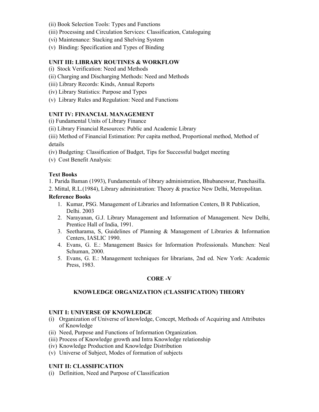- (ii) Book Selection Tools: Types and Functions
- (iii) Processing and Circulation Services: Classification, Cataloguing
- (vi) Maintenance: Stacking and Shelving System
- (v) Binding: Specification and Types of Binding

#### **UNIT III: LIBRARY ROUTINES & WORKFLOW**

- (i) Stock Verification: Need and Methods
- (ii) Charging and Discharging Methods: Need and Methods
- (iii) Library Records: Kinds, Annual Reports
- (iv) Library Statistics: Purpose and Types
- (v) Library Rules and Regulation: Need and Functions

#### **UNIT IV: FINANCIAL MANAGEMENT**

(i) Fundamental Units of Library Finance

(ii) Library Financial Resources: Public and Academic Library

(iii) Method of Financial Estimation: Per capita method, Proportional method, Method of details

(iv) Budgeting: Classification of Budget, Tips for Successful budget meeting

(v) Cost Benefit Analysis:

#### **Text Books**

1. Parida Baman (1993), Fundamentals of library administration, Bhubaneswar, Panchasilla.

2. Mittal, R.L.(1984), Library administration: Theory & practice New Delhi, Metropolitan.

#### **Reference Books**

- 1. Kumar, PSG. Management of Libraries and Information Centers, B R Publication, Delhi. 2003
- 2. Narayanan, G.J. Library Management and Information of Management. New Delhi, Prentice Hall of India, 1991.
- 3. Seetharama, S, Guidelines of Planning & Management of Libraries & Information Centers, IASLIC 1990.
- 4. Evans, G. E.: Management Basics for Information Professionals*.* Munchen: Neal Schuman, 2000.
- 5. Evans, G. E.: Management techniques for librarians, 2nd ed. New York: Academic Press, 1983.

#### **CORE -V**

#### **KNOWLEDGE ORGANIZATION (CLASSIFICATION) THEORY**

#### **UNIT I: UNIVERSE OF KNOWLEDGE**

- (i) Organization of Universe of knowledge, Concept, Methods of Acquiring and Attributes of Knowledge
- (ii) Need, Purpose and Functions of Information Organization.
- (iii) Process of Knowledge growth and Intra Knowledge relationship
- (iv) Knowledge Production and Knowledge Distribution
- (v) Universe of Subject, Modes of formation of subjects

# **UNIT II: CLASSIFICATION**

(i) Definition, Need and Purpose of Classification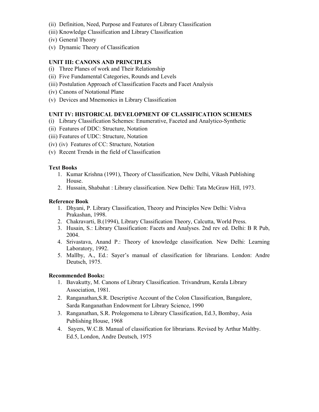- (ii) Definition, Need, Purpose and Features of Library Classification
- (iii) Knowledge Classification and Library Classification
- (iv) General Theory
- (v) Dynamic Theory of Classification

#### **UNIT III: CANONS AND PRINCIPLES**

- (i) Three Planes of work and Their Relationship
- (ii) Five Fundamental Categories, Rounds and Levels
- (iii) Postulation Approach of Classification Facets and Facet Analysis
- (iv) Canons of Notational Plane
- (v) Devices and Mnemonics in Library Classification

#### **UNIT IV: HISTORICAL DEVELOPMENT OF CLASSIFICATION SCHEMES**

- (i) Library Classification Schemes: Enumerative, Faceted and Analytico-Synthetic
- (ii) Features of DDC: Structure, Notation
- (iii) Features of UDC: Structure, Notation
- (iv) (iv) Features of CC: Structure, Notation
- (v) Recent Trends in the field of Classification

#### **Text Books**

- 1. Kumar Krishna (1991), Theory of Classification, New Delhi, Vikash Publishing House.
- 2. Hussain, Shabahat : Library classification. New Delhi: Tata McGraw Hill, 1973.

#### **Reference Book**

- 1. Dhyani, P. Library Classification, Theory and Principles New Delhi: Vishva Prakashan, 1998.
- 2. Chakravarti, B.(1994), Library Classification Theory, Calcutta, World Press.
- 3. Husain, S.: Library Classification: Facets and Analyses. 2nd rev ed. Delhi: B R Pub, 2004.
- 4. Srivastava, Anand P.: Theory of knowledge classification. New Delhi: Learning Laboratory, 1992.
- 5. Mallby, A., Ed.: Sayer's manual of classification for librarians. London: Andre Deutsch, 1975.

#### **Recommended Books:**

- 1. Bavakutty, M. Canons of Library Classification. Trivandrum, Kerala Library Association, 1981.
- 2. Ranganathan,S.R. Descriptive Account of the Colon Classification, Bangalore, Sarda Ranganathan Endowment for Library Science, 1990
- 3. Ranganathan, S.R. Prolegomena to Library Classification, Ed.3, Bombay, Asia Publishing House, 1968
- 4. Sayers, W.C.B. Manual of classification for librarians. Revised by Arthur Maltby. Ed.5, London, Andre Deutsch, 1975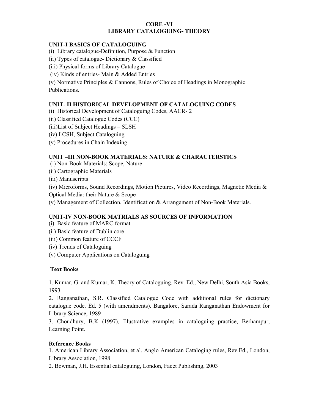#### **CORE -VI LIBRARY CATALOGUING- THEORY**

#### **UNIT-I BASICS OF CATALOGUING**

- (i) Library catalogue-Definition, Purpose & Function
- (ii) Types of catalogue- Dictionary & Classified
- (iii) Physical forms of Library Catalogue
- (iv) Kinds of entries- Main & Added Entries

(v) Normative Principles & Cannons, Rules of Choice of Headings in Monographic Publications.

#### **UNIT- II HISTORICAL DEVELOPMENT OF CATALOGUING CODES**

- (i) Historical Development of Cataloguing Codes, AACR- 2
- (ii) Classified Catalogue Codes (CCC)
- (iii)List of Subject Headings SLSH
- (iv) LCSH, Subject Cataloguing
- (v) Procedures in Chain Indexing

#### **UNIT –III NON-BOOK MATERIALS: NATURE & CHARACTERSTICS**

- (i) Non-Book Materials; Scope, Nature
- (ii) Cartographic Materials
- (iii) Manuscripts
- (iv) Microforms, Sound Recordings, Motion Pictures, Video Recordings, Magnetic Media &
- Optical Media: their Nature & Scope
- (v) Management of Collection, Identification & Arrangement of Non-Book Materials.

#### **UNIT-IV NON-BOOK MATRIALS AS SOURCES OF INFORMATION**

- (i)Basic feature of MARC format
- (ii) Basic feature of Dublin core
- (iii) Common feature of CCCF
- (iv) Trends of Cataloguing
- (v) Computer Applications on Cataloguing

#### **Text Books**

1. Kumar, G. and Kumar, K. Theory of Cataloguing. Rev. Ed., New Delhi, South Asia Books, 1993

2. Ranganathan, S.R. Classified Catalogue Code with additional rules for dictionary catalogue code. Ed. 5 (with amendments). Bangalore, Sarada Ranganathan Endowment for Library Science, 1989

3. Choudhury, B.K (1997), Illustrative examples in cataloguing practice, Berhampur, Learning Point.

#### **Reference Books**

1. American Library Association, et al. Anglo American Cataloging rules, Rev.Ed., London, Library Association, 1998

2. Bowman, J.H. Essential cataloguing, London, Facet Publishing, 2003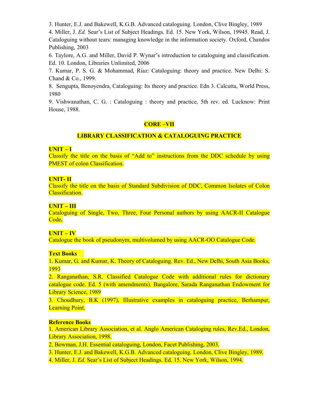3. Hunter, E.J. and Bakewell, K.G.B. Advanced cataloguing. London, Clive Bingley, 1989

4. Miller, J. *Ed.* Sear's List of Subject Headings. Ed. 15. New York, Wilson, 19945. Read, J. Cataloguing without tears: managing knowledge in the information society. Oxford, Chandos Publishing, 2003

6. Taylore, A.G. and Miller, David P. Wynar's introduction to cataloguing and classification. Ed. 10. London, Libraries Unlimited, 2006

7. Kumar, P. S. G. & Mohammad, Riaz: Cataloguing: theory and practice. New Delhi: S. Chand & Co., 1999.

8. Sengupta, Benoyendra, Cataloguing: Its theory and practice. Edn 3. Calcutta, World Press, 1980

9. Vishwanathan, C. G. : Cataloguing : theory and practice, 5th rev. ed. Lucknow: Print House, 1988.

#### **CORE –VII**

#### **LIBRARY CLASSIFICATION & CATALOGUING PRACTICE**

#### **UNIT – I**

Classify the title on the basis of "Add to" instructions from the DDC schedule by using PMEST of colon Classification.

#### **UNIT- II**

Classify the title on the basis of Standard Subdivision of DDC, Common Isolates of Colon Classification.

#### **UNIT – III**

Cataloguing of Single, Two, Three, Four Personal authors by using AACR-II Catalogue Code**.** 

#### **UNIT – IV**

Catalogue the book of pseudonym, multivolumed by using AACR-OO Catalogue Code.

#### **Text Books**

1. Kumar, G. and Kumar, K. Theory of Cataloguing. Rev. Ed., New Delhi, South Asia Books, 1993

2. Ranganathan, S.R. Classified Catalogue Code with additional rules for dictionary catalogue code. Ed. 5 (with amendments). Bangalore, Sarada Ranganathan Endowment for Library Science, 1989

3. Choudhury, B.K (1997), Illustrative examples in cataloguing practice, Berhampur, Learning Point.

#### **Reference Books**

1. American Library Association, et al. Anglo American Cataloging rules, Rev.Ed., London, Library Association, 1998.

2. Bowman, J.H. Essential cataloguing, London, Facet Publishing, 2003.

3. Hunter, E.J. and Bakewell, K.G.B. Advanced cataloguing. London, Clive Bingley, 1989.

4. Miller, J. *Ed.* Sear's List of Subject Headings. Ed. 15. New York, Wilson, 1994.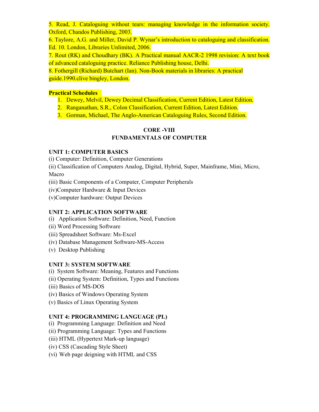5. Read, J. Cataloguing without tears: managing knowledge in the information society. Oxford, Chandos Publishing, 2003.

6. Taylore, A.G. and Miller, David P. Wynar's introduction to cataloguing and classification. Ed. 10. London, Libraries Unlimited, 2006.

7. Rout (RK) and Choudhary (BK). A Practical manual AACR-2 1998 revision: A text book of advanced cataloguing practice. Reliance Publishing house, Delhi.

8. Fothergill (Richard) Butchart (Ian). Non-Book materials in libraries: A practical guide.1990.clive bingley, London.

# **Practical Schedules**

- 1. Dewey, Melvil, Dewey Decimal Classification, Current Edition, Latest Edition.
- 2. Ranganathan, S.R., Colon Classification, Current Edition, Latest Edition.
- 3. Gorman, Michael, The Anglo-American Cataloguing Rules, Second Edition.

# **CORE -VIII FUNDAMENTALS OF COMPUTER**

# **UNIT 1: COMPUTER BASICS**

(i) Computer: Definition, Computer Generations

(ii) Classification of Computers Analog, Digital, Hybrid, Super, Mainframe, Mini, Micro, Macro

(iii) Basic Components of a Computer, Computer Peripherals

(iv)Computer Hardware & Input Devices

(v)Computer hardware: Output Devices

#### **UNIT 2: APPLICATION SOFTWARE**

- (i) Application Software: Definition, Need, Function
- (ii) Word Processing Software
- (iii) Spreadsheet Software: Ms-Excel
- (iv) Database Management Software-MS-Access
- (v) Desktop Publishing

# **UNIT 3: SYSTEM SOFTWARE**

(i) System Software: Meaning, Features and Functions

- (ii) Operating System: Definition, Types and Functions
- (iii) Basics of MS-DOS
- (iv) Basics of Windows Operating System
- (v) Basics of Linux Operating System

# **UNIT 4: PROGRAMMING LANGUAGE (PL)**

(i) Programming Language: Definition and Need

(ii) Programming Language: Types and Functions

- (iii) HTML (Hypertext Mark-up language)
- (iv) CSS (Cascading Style Sheet)
- (vi) Web page deigning with HTML and CSS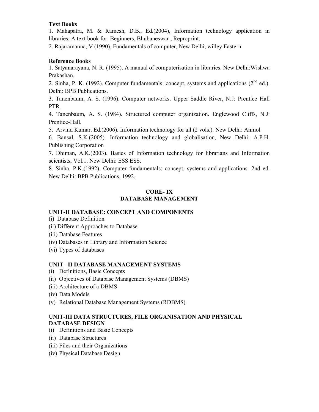# **Text Books**

1. Mahapatra, M. & Ramesh, D.B., Ed.(2004), Information technology application in libraries: A text book for Beginners, Bhubaneswar , Reproprint.

2. Rajaramanna, V (1990), Fundamentals of computer, New Delhi, willey Eastern

#### **Reference Books**

1. Satyanarayana, N. R. (1995). A manual of computerisation in libraries. New Delhi:Wishwa Prakashan.

2. Sinha, P. K. (1992). Computer fundamentals: concept, systems and applications  $(2^{nd}$  ed.). Delhi: BPB Publications.

3. Tanenbaum, A. S. (1996). Computer networks. Upper Saddle River, N.J: Prentice Hall PTR.

4. Tanenbaum, A. S. (1984). Structured computer organization. Englewood Cliffs, N.J: Prentice-Hall.

5. Arvind Kumar. Ed.(2006). Information technology for all (2 vols.). New Delhi: Anmol

6. Bansal, S.K.(2005). Information technology and globalisation, New Delhi: A.P.H. Publishing Corporation

7. Dhiman, A.K.(2003). Basics of Information technology for librarians and Information scientists, Vol.1. New Delhi: ESS ESS.

8. Sinha, P.K.(1992). Computer fundamentals: concept, systems and applications. 2nd ed. New Delhi: BPB Publications, 1992.

#### **CORE- IX DATABASE MANAGEMENT**

#### **UNIT-II DATABASE: CONCEPT AND COMPONENTS**

- (i) Database Definition
- (ii) Different Approaches to Database
- (iii) Database Features
- (iv) Databases in Library and Information Science
- (vi) Types of databases

#### **UNIT –II DATABASE MANAGEMENT SYSTEMS**

- (i) Definitions, Basic Concepts
- (ii) Objectives of Database Management Systems (DBMS)
- (iii) Architecture of a DBMS
- (iv) Data Models
- (v) Relational Database Management Systems (RDBMS)

# **UNIT-III DATA STRUCTURES, FILE ORGANISATION AND PHYSICAL DATABASE DESIGN**

- (i) Definitions and Basic Concepts
- (ii) Database Structures
- (iii) Files and their Organizations
- (iv) Physical Database Design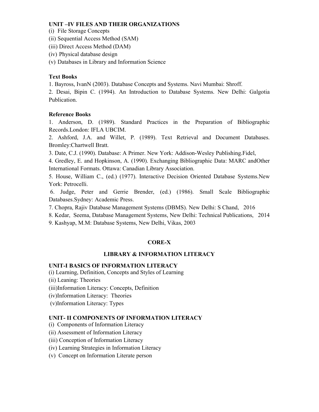#### **UNIT –IV FILES AND THEIR ORGANIZATIONS**

- (i) File Storage Concepts
- (ii) Sequential Access Method (SAM)
- (iii) Direct Access Method (DAM)
- (iv) Physical database design
- (v) Databases in Library and Information Science

# **Text Books**

1. Bayross, IvanN (2003). Database Concepts and Systems. Navi Mumbai: Shroff.

2. Desai, Bipin C. (1994). An Introduction to Database Systems. New Delhi: Galgotia Publication.

# **Reference Books**

1. Anderson, D. (1989). Standard Practices in the Preparation of Bibliographic Records.London: IFLA UBCIM.

2. Ashford, J.A. and Willet, P. (1989). Text Retrieval and Document Databases. Bromley:Chartwell Bratt.

3. Date, C.J. (1990). Database: A Primer. New York: Addison-Wesley Publishing.Fidel,

4. Gredley, E. and Hopkinson, A. (1990). Exchanging Bibliographic Data: MARC andOther International Formats. Ottawa: Canadian Library Association.

5. House, William C., (ed.) (1977). Interactive Decision Oriented Database Systems.New York: Petrocelli.

 6. Judge, Peter and Gerrie Brender, (ed.) (1986). Small Scale Bibliographic Databases.Sydney: Academic Press.

7. Chopra, Rajiv Database Management Systems (DBMS). New Delhi: S Chand, 2016

8. Kedar, Seema, Database Management Systems, New Delhi: Technical Publications, 2014

9. Kashyap, M.M: Database Systems, New Delhi, Vikas, 2003

# **CORE-X**

# **LIBRARY & INFORMATION LITERACY**

# **UNIT-I BASICS OF INFORMATION LITERACY**

(i) Learning, Definition, Concepts and Styles of Learning

- (ii) Leaning: Theories
- (iii)Information Literacy: Concepts, Definition
- (iv)Information Literacy: Theories
- (v)Information Literacy: Types

# **UNIT- II COMPONENTS OF INFORMATION LITERACY**

- (i) Components of Information Literacy
- (ii) Assessment of Information Literacy
- (iii) Conception of Information Literacy
- (iv) Learning Strategies in Information Literacy
- (v) Concept on Information Literate person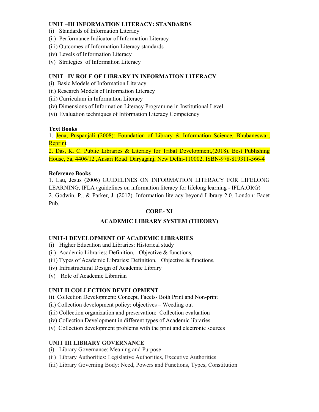# **UNIT –III INFORMATION LITERACY: STANDARDS**

- (i) Standards of Information Literacy
- (ii) Performance Indicator of Information Literacy
- (iii) Outcomes of Information Literacy standards
- (iv) Levels of Information Literacy
- (v) Strategies of Information Literacy

# **UNIT –IV ROLE OF LIBRARY IN INFORMATION LITERACY**

- (i) Basic Models of Information Literacy
- (ii) Research Models of Information Literacy
- (iii) Curriculum in Information Literacy
- (iv) Dimensions of Information Literacy Programme in Institutional Level
- (vi) Evaluation techniques of Information Literacy Competency

# **Text Books**

1. Jena, Puspanjali (2008): Foundation of Library & Information Science, Bhubaneswar, Reprint

2. Das, K. C. Public Libraries & Literacy for Tribal Development,(2018). Best Publishing House, 5a, 4406/12 ,Ansari Road Daryaganj, New Delhi-110002. ISBN-978-819311-566-4

#### **Reference Books**

1. Lau, Jesus (2006) GUIDELINES ON INFORMATION LITERACY FOR LIFELONG LEARNING, IFLA (guidelines on information literacy for lifelong learning - IFLA.ORG) 2. Godwin, P., & Parker, J. (2012). Information literacy beyond Library 2.0. London: Facet Pub.

# **CORE- XI**

# **ACADEMIC LIBRARY SYSTEM (THEORY)**

#### **UNIT-I DEVELOPMENT OF ACADEMIC LIBRARIES**

- (i) Higher Education and Libraries: Historical study
- (ii) Academic Libraries: Definition, Objective  $\&$  functions,
- (iii) Types of Academic Libraries: Definition, Objective & functions,
- (iv) Infrastructural Design of Academic Library
- (v) Role of Academic Librarian

# **UNIT II COLLECTION DEVELOPMENT**

- (i). Collection Development: Concept, Facets- Both Print and Non-print
- (ii) Collection development policy: objectives Weeding out
- (iii) Collection organization and preservation: Collection evaluation
- (iv) Collection Development in different types of Academic libraries
- (v) Collection development problems with the print and electronic sources

#### **UNIT III LIBRARY GOVERNANCE**

- (i) Library Governance: Meaning and Purpose
- (ii) Library Authorities: Legislative Authorities, Executive Authorities
- (iii) Library Governing Body: Need, Powers and Functions, Types, Constitution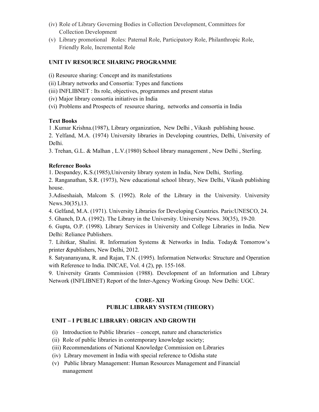- (iv) Role of Library Governing Bodies in Collection Development, Committees for Collection Development
- (v) Library promotional Roles: Paternal Role, Participatory Role, Philanthropic Role, Friendly Role, Incremental Role

#### **UNIT IV RESOURCE SHARING PROGRAMME**

(i) Resource sharing: Concept and its manifestations

(ii) Library networks and Consortia: Types and functions

(iii) INFLIBNET : Its role, objectives, programmes and present status

(iv) Major library consortia initiatives in India

(vi) Problems and Prospects of resource sharing, networks and consortia in India

#### **Text Books**

1 .Kumar Krishna.(1987), Library organization, New Delhi , Vikash publishing house.

2. Yelfand, M.A. (1974) University libraries in Developing countries, Delhi, University of Delhi.

3. Trehan, G.L. & Malhan , L.V.(1980) School library management , New Delhi , Sterling.

# **Reference Books**

1. Despandey, K.S.(1985),University library system in India, New Delhi, Sterling.

2. Ranganathan, S.R. (1973), New educational school library, New Delhi, Vikash publishing house.

3.Adiseshaiah, Malcom S. (1992). Role of the Library in the University. University News.30(35),13.

- 4. Gelfand, M.A. (1971). University Libraries for Developing Countries. Paris:UNESCO, 24.
- 5. Ghanch, D.A. (1992). The Library in the University. University News. 30(35), 19-20.

6. Gupta, O.P. (1998). Library Services in University and College Libraries in India. New Delhi: Reliance Publishers.

7. Lihitkar, Shalini. R. Information Systems & Networks in India. Today& Tomorrow's printer &publishers, New Delhi, 2012.

8. Satyanarayana, R. and Rajan, T.N. (1995). Information Networks: Structure and Operation with Reference to India. INICAE, Vol. 4 (2), pp. 155-168.

9. University Grants Commission (1988). Development of an Information and Library Network (INFLIBNET) Report of the Inter-Agency Working Group. New Delhi: UGC.

#### **CORE- XII PUBLIC LIBRARY SYSTEM (THEORY)**

# **UNIT – I PUBLIC LIBRARY: ORIGIN AND GROWTH**

- (i) Introduction to Public libraries concept, nature and characteristics
- (ii) Role of public libraries in contemporary knowledge society;
- (iii) Recommendations of National Knowledge Commission on Libraries
- (iv) Library movement in India with special reference to Odisha state
- (v) Public library Management: Human Resources Management and Financial management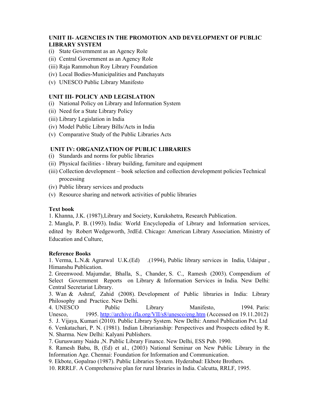# **UNIIT II- AGENCIES IN THE PROMOTION AND DEVELOPMENT OF PUBLIC LIBRARY SYSTEM**

- (i) State Government as an Agency Role
- (ii) Central Government as an Agency Role
- (iii) Raja Rammohun Roy Library Foundation
- (iv) Local Bodies-Municipalities and Panchayats
- (v) UNESCO Public Library Manifesto

#### **UNIT III- POLICY AND LEGISLATION**

- (i) National Policy on Library and Information System
- (ii) Need for a State Library Policy
- (iii) Library Legislation in India
- (iv) Model Public Library Bills/Acts in India
- (v) Comparative Study of the Public Libraries Acts

#### **UNIT IV: ORGANIZATION OF PUBLIC LIBRARIES**

- (i) Standards and norms for public libraries
- (ii) Physical facilities library building, furniture and equipment
- (iii) Collection development book selection and collection development policies Technical processing
- (iv) Public library services and products
- (v) Resource sharing and network activities of public libraries

#### **Text book**

- 1. Khanna, J.K. (1987),Library and Society, Kurukshetra, Research Publication.
- 2. Mangla, P. B. (1993). India: World Encyclopedia of Library and Information services, edited by Robert Wedgeworth, 3rdEd. Chicago: American Library Association. Ministry of Education and Culture,

#### **Reference Books**

1. Verma, L.N.& Agrarwal U.K.(Ed) .(1994), Public library services in India, Udaipur , Himanshu Publication.

2. Greenwood. Majumdar, Bhalla, S., Chander, S. C., Ramesh (2003). Compendium of Select Government Reports on Library & Information Services in India. New Delhi: Central Secretariat Library.

3. Wan & Ashraf, Zahid (2008). Development of Public libraries in India: Library Philosophy and Practice. New Delhi.

4. UNESCO Public Library Manifesto, 1994. Paris: Unesco, 1995. http://archive.ifla.org/VII/s8/unesco/eng.htm (Accessed on 19.11.2012) 5. J. Vijaya, Kumari (2010). Public Library System. New Delhi: Anmol Publication Pvt. Ltd

6. Venkatachari, P. N. (1981). Indian Librarianship: Perspectives and Prospects edited by R. N. Sharma. New Delhi: Kalyani Publishers.

7. Guruswamy Naidu ,N. Public Library Finance. New Delhi, ESS Pub. 1990.

8. Ramesh Babu, B, (Ed) et al., (2003) National Seminar on New Public Library in the Information Age. Chennai: Foundation for Information and Communication.

9. Ekbote, Gopalrao (1987). Public Libraries System. Hyderabad: Ekbote Brothers.

10. RRRLF. A Comprehensive plan for rural libraries in India. Calcutta, RRLF, 1995.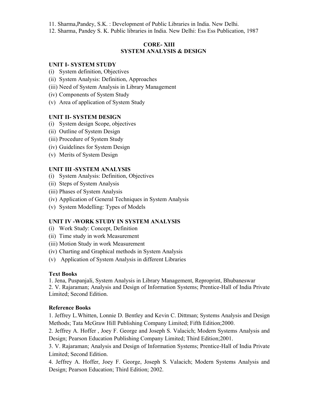- 11. Sharma,Pandey, S.K. : Development of Public Libraries in India. New Delhi.
- 12. Sharma, Pandey S. K. Public libraries in India. New Delhi: Ess Ess Publication, 1987

#### **CORE- XIII SYSTEM ANALYSIS & DESIGN**

#### **UNIT I- SYSTEM STUDY**

- (i) System definition, Objectives
- (ii) System Analysis: Definition, Approaches
- (iii) Need of System Analysis in Library Management
- (iv) Components of System Study
- (v) Area of application of System Study

#### **UNIT II- SYSTEM DESIGN**

- (i) System design Scope, objectives
- (ii) Outline of System Design
- (iii) Procedure of System Study
- (iv) Guidelines for System Design
- (v) Merits of System Design

#### **UNIT III -SYSTEM ANALYSIS**

- (i) System Analysis: Definition, Objectives
- (ii) Steps of System Analysis
- (iii) Phases of System Analysis
- (iv) Application of General Techniques in System Analysis
- (v) System Modelling: Types of Models

#### **UNIT IV -WORK STUDY IN SYSTEM ANALYSIS**

- (i) Work Study: Concept, Definition
- (ii) Time study in work Measurement
- (iii) Motion Study in work Measurement
- (iv) Charting and Graphical methods in System Analysis
- (v) Application of System Analysis in different Libraries

#### **Text Books**

1. Jena, Puspanjali, System Analysis in Library Management, Reproprint, Bhubaneswar 2. V. Rajaraman; Analysis and Design of Information Systems; Prentice-Hall of India Private Limited; Second Edition.

#### **Reference Books**

1. Jeffrey L.Whitten, Lonnie D. Bentley and Kevin C. Dittman; Systems Analysis and Design Methods; Tata McGraw Hill Publishing Company Limited; Fifth Edition;2000.

2. Jeffrey A. Hoffer , Joey F. George and Joseph S. Valacich; Modern Systems Analysis and Design; Pearson Education Publishing Company Limited; Third Edition;2001.

3. V. Rajaraman; Analysis and Design of Information Systems; Prentice-Hall of India Private Limited; Second Edition.

4. Jeffrey A. Hoffer, Joey F. George, Joseph S. Valacich; Modern Systems Analysis and Design; Pearson Education; Third Edition; 2002.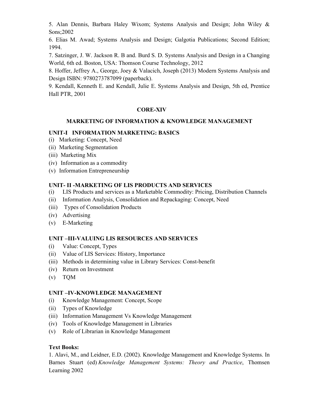5. Alan Dennis, Barbara Haley Wixom; Systems Analysis and Design; John Wiley & Sons;2002

6. Elias M. Awad; Systems Analysis and Design; Galgotia Publications; Second Edition; 1994.

7. Satzinger, J. W. Jackson R. B and. Burd S. D. Systems Analysis and Design in a Changing World, 6th ed. Boston, USA: Thomson Course Technology, 2012

8. Hoffer, Jeffrey A., George, Joey & Valacich, Joseph (2013) Modern Systems Analysis and Design ISBN: 9780273787099 (paperback).

9. Kendall, Kenneth E. and Kendall, Julie E. Systems Analysis and Design, 5th ed, Prentice Hall PTR, 2001

#### **CORE-XIV**

# **MARKETING OF INFORMATION & KNOWLEDGE MANAGEMENT**

# **UNIT-I INFORMATION MARKETING: BASICS**

- (i) Marketing: Concept, Need
- (ii) Marketing Segmentation
- (iii) Marketing Mix
- (iv) Information as a commodity
- (v) Information Entrepreneurship

# **UNIT- II -MARKETING OF LIS PRODUCTS AND SERVICES**

- (i) LIS Products and services as a Marketable Commodity: Pricing, Distribution Channels
- (ii) Information Analysis, Consolidation and Repackaging: Concept, Need
- (iii) Types of Consolidation Products
- (iv) Advertising
- (v) E-Marketing

#### **UNIT –III-VALUING LIS RESOURCES AND SERVICES**

- (i) Value: Concept, Types
- (ii) Value of LIS Services: History, Importance
- (iii) Methods in determining value in Library Services: Const-benefit
- (iv) Return on Investment
- (v) TQM

#### **UNIT –IV-KNOWLEDGE MANAGEMENT**

- (i) Knowledge Management: Concept, Scope
- (ii) Types of Knowledge
- (iii) Information Management Vs Knowledge Management
- (iv) Tools of Knowledge Management in Libraries
- (v) Role of Librarian in Knowledge Management

# **Text Books:**

1. Alavi, M., and Leidner, E.D. (2002). Knowledge Management and Knowledge Systems. In Barnes Stuart (ed) *Knowledge Management Systems: Theory and Practice*, Thomsen Learning 2002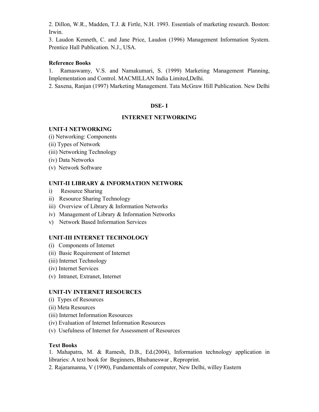2. Dillon, W.R., Madden, T.J. & Firtle, N.H. 1993. Essentials of marketing research. Boston: Irwin.

3. Laudon Kenneth, C. and Jane Price, Laudon (1996) Management Information System. Prentice Hall Publication. N.J., USA.

#### **Reference Books**

1. Ramaswamy, V.S. and Namakumari, S. (1999) Marketing Management Planning, Implementation and Control. MACMILLAN India Limited,Delhi.

2. Saxena, Ranjan (1997) Marketing Management. Tata McGraw Hill Publication. New Delhi

# **DSE- I**

#### **INTERNET NETWORKING**

#### **UNIT-I NETWORKING**

(i) Networking: Components

- (ii) Types of Network
- (iii) Networking Technology
- (iv) Data Networks
- (v) Network Software

# **UNIT-II LIBRARY & INFORMATION NETWORK**

- i) Resource Sharing
- ii) Resource Sharing Technology
- iii) Overview of Library & Information Networks
- iv) Management of Library & Information Networks
- v) Network Based Information Services

# **UNIT-III INTERNET TECHNOLOGY**

- (i) Components of Internet
- (ii) Basic Requirement of Internet
- (iii) Internet Technology
- (iv) Internet Services
- (v) Intranet, Extranet, Internet

# **UNIT-IV INTERNET RESOURCES**

- (i) Types of Resources
- (ii) Meta Resources
- (iii) Internet Information Resources
- (iv) Evaluation of Internet Information Resources
- (v) Usefulness of Internet for Assessment of Resources

#### **Text Books**

1. Mahapatra, M. & Ramesh, D.B., Ed.(2004), Information technology application in libraries: A text book for Beginners, Bhubaneswar , Reproprint.

2. Rajaramanna, V (1990), Fundamentals of computer, New Delhi, willey Eastern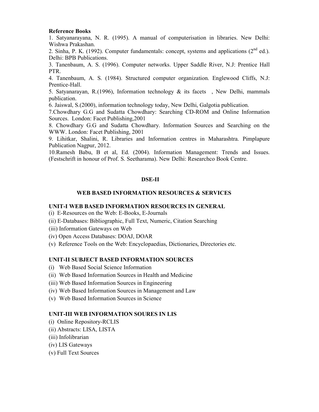#### **Reference Books**

1. Satyanarayana, N. R. (1995). A manual of computerisation in libraries. New Delhi: Wishwa Prakashan.

2. Sinha, P. K. (1992). Computer fundamentals: concept, systems and applications  $(2^{nd}$  ed.). Delhi: BPB Publications.

3. Tanenbaum, A. S. (1996). Computer networks. Upper Saddle River, N.J: Prentice Hall PTR.

4. Tanenbaum, A. S. (1984). Structured computer organization. Englewood Cliffs, N.J: Prentice-Hall.

5. Satyanarayan, R.(1996), Information technology  $\&$  its facets , New Delhi, mammals publication.

6. Jaiswal, S.(2000), information technology today, New Delhi, Galgotia publication.

7.Chowdhary G.G and Sudatta Chowdhary: Searching CD-ROM and Online Information Sources. London: Facet Publishing,2001

8. Chowdhary G.G and Sudatta Chowdhary. Information Sources and Searching on the WWW. London: Facet Publishing, 2001

9. Lihitkar, Shalini, R. Libraries and Information centres in Maharashtra. Pimplapure Publication Nagpur, 2012.

10.Ramesh Babu, B et al, Ed. (2004). Information Management: Trends and Issues. (Festschrift in honour of Prof. S. Seetharama). New Delhi: Researchco Book Centre.

#### **DSE-II**

#### **WEB BASED INFORMATION RESOURCES & SERVICES**

#### **UNIT-I WEB BASED INFORMATION RESOURCES IN GENERAL**

(i) E-Resources on the Web: E-Books, E-Journals

(ii) E-Databases: Bibliographic, Full Text, Numeric, Citation Searching

- (iii) Information Gateways on Web
- (iv) Open Access Databases: DOAJ, DOAR
- (v) Reference Tools on the Web: Encyclopaedias, Dictionaries, Directories etc.

#### **UNIT-II SUBJECT BASED INFORMATION SOURCES**

- (i) Web Based Social Science Information
- (ii) Web Based Information Sources in Health and Medicine
- (iii) Web Based Information Sources in Engineering
- (iv) Web Based Information Sources in Management and Law
- (v) Web Based Information Sources in Science

#### **UNIT-III WEB INFORMATION SOURES IN LIS**

- (i) Online Repository-RCLIS
- (ii) Abstracts: LISA, LISTA
- (iii) Infolibrarian
- (iv) LIS Gateways
- (v) Full Text Sources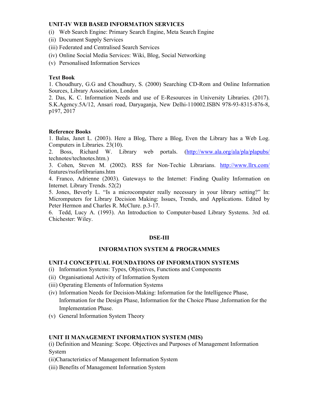#### **UNIT-IV WEB BASED INFORMATION SERVICES**

- (i) Web Search Engine: Primary Search Engine, Meta Search Engine
- (ii) Document Supply Services
- (iii) Federated and Centralised Search Services
- (iv) Online Social Media Services: Wiki, Blog, Social Networking
- (v) Personalised Information Services

#### **Text Book**

1. Choudhury, G.G and Choudhury, S. (2000) Searching CD-Rom and Online Information Sources, Library Association, London

2. Das, K. C. Information Needs and use of E-Resources in University Libraries. (2017). S.K.Agency.5A/12, Ansari road, Daryaganja, New Delhi-110002.ISBN 978-93-8315-876-8, p197, 2017

#### **Reference Books**

1. Balas, Janet L. (2003). Here a Blog, There a Blog, Even the Library has a Web Log. Computers in Libraries. 23(10).

2. Boss, Richard W. Library web portals. (http://www.ala.org/ala/pla/plapubs/ technotes/technotes.htm.)

3. Cohen, Steven M. (2002). RSS for Non-Techie Librarians. http://www.llrx.com/ features/rssforlibrarians.htm

4. Franco, Adrienne (2003). Gateways to the Internet: Finding Quality Information on Internet. Library Trends. 52(2)

5. Jones, Beverly L. "Is a microcomputer really necessary in your library setting?" In: Micromputers for Library Decision Making: Issues, Trends, and Applications. Edited by Peter Hermon and Charles R. McClure. p.3-17.

6. Tedd, Lucy A. (1993). An Introduction to Computer-based Library Systems. 3rd ed. Chichester: Wiley.

#### **DSE-III**

#### **INFORMATION SYSTEM & PROGRAMMES**

#### **UNIT-I CONCEPTUAL FOUNDATIONS OF INFORMATION SYSTEMS**

- (i) Information Systems: Types, Objectives, Functions and Components
- (ii) Organisational Activity of Information System
- (iii) Operating Elements of Information Systems
- (iv) Information Needs for Decision-Making: Information for the Intelligence Phase, Information for the Design Phase, Information for the Choice Phase ,Information for the Implementation Phase.
- (v) General Information System Theory

#### **UNIT II MANAGEMENT INFORMATION SYSTEM (MIS)**

(i) Definition and Meaning: Scope. Objectives and Purposes of Management Information System

- (ii)Characteristics of Management Information System
- (iii) Benefits of Management Information System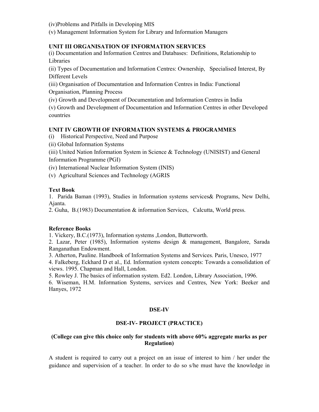(iv)Problems and Pitfalls in Developing MIS

(v) Management Information System for Library and Information Managers

#### **UNIT III ORGANISATION OF INFORMATION SERVICES**

(i) Documentation and Information Centres and Databases: Definitions, Relationship to Libraries

(ii) Types of Documentation and Information Centres: Ownership, Specialised Interest, By Different Levels

(iii) Organisation of Documentation and Information Centres in India: Functional Organisation, Planning Process

(iv) Growth and Development of Documentation and Information Centres in India

(v) Growth and Development of Documentation and Information Centres in other Developed countries

#### **UNIT IV GROWTH OF INFORMATION SYSTEMS & PROGRAMMES**

(i) Historical Perspective, Need and Purpose

(ii) Global Information Systems

(iii) United Nation Information System in Science & Technology (UNISIST) and General Information Programme (PGI)

(iv) International Nuclear Information System (INIS)

(v) Agricultural Sciences and Technology (AGRIS

#### **Text Book**

1. Parida Baman (1993), Studies in Information systems services& Programs, New Delhi, Ajanta.

2. Guha, B.(1983) Documentation & information Services, Calcutta, World press.

#### **Reference Books**

1. Vickery, B.C.(1973), Information systems ,London, Butterworth.

2. Lazar, Peter (1985), Information systems design & management, Bangalore, Sarada Ranganathan Endowment.

3. Atherton, Pauline. Handbook of Information Systems and Services. Paris, Unesco, 1977

4. Falkeberg, Eckhard D et al., Ed. Information system concepts: Towards a consolidation of views. 1995. Chapman and Hall, London.

5. Rowley J. The basics of information system. Ed2. London, Library Association, 1996.

6. Wiseman, H.M. Information Systems, services and Centres, New York: Beeker and Hanyes, 1972

#### **DSE-IV**

#### **DSE-IV- PROJECT (PRACTICE)**

#### **(College can give this choice only for students with above 60% aggregate marks as per Regulation)**

A student is required to carry out a project on an issue of interest to him / her under the guidance and supervision of a teacher. In order to do so s/he must have the knowledge in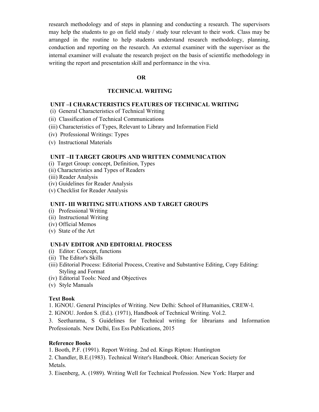research methodology and of steps in planning and conducting a research. The supervisors may help the students to go on field study / study tour relevant to their work. Class may be arranged in the routine to help students understand research methodology, planning, conduction and reporting on the research. An external examiner with the supervisor as the internal examiner will evaluate the research project on the basis of scientific methodology in writing the report and presentation skill and performance in the viva.

#### **OR**

#### **TECHNICAL WRITING**

#### **UNIT –I CHARACTERISTICS FEATURES OF TECHNICAL WRITING**

- (i) General Characteristics of Technical Writing
- (ii) Classification of Technical Communications
- (iii) Characteristics of Types, Relevant to Library and Information Field
- (iv) Professional Writings: Types
- (v) Instructional Materials

#### **UNIT –II TARGET GROUPS AND WRITTEN COMMUNICATION**

- (i) Target Group: concept, Definition, Types
- (ii) Characteristics and Types of Readers
- (iii) Reader Analysis
- (iv) Guidelines for Reader Analysis
- (v) Checklist for Reader Analysis

#### **UNIT- III WRITING SITUATIONS AND TARGET GROUPS**

- (i) Professional Writing
- (ii) Instructional Writing
- (iv) Official Memos
- (v) State of the Art

#### **UNI-IV EDITOR AND EDITORIAL PROCESS**

- (i) Editor: Concept, functions
- (ii) The Editor's Skills
- (iii) Editorial Process: Editorial Process, Creative and Substantive Editing, Copy Editing: Styling and Format
- (iv) Editorial Tools: Need and Objectives
- (v) Style Manuals

#### **Text Book**

1. IGNOU. General Principles of Writing. New Delhi: School of Humanities, CREW-l.

2. IGNOU. Jordon S. (Ed.). (1971), Handbook of Technical Writing. Vol.2.

3. Seetharama, S Guidelines for Technical writing for librarians and Information Professionals. New Delhi, Ess Ess Publications, 2015

#### **Reference Books**

1. Booth, P.F. (1991). Report Writing. 2nd ed. Kings Ripton: Huntington

2. Chandler, B.E.(1983). Technical Writer's Handbook. Ohio: American Society for Metals.

3. Eisenberg, A. (1989). Writing Well for Technical Profession. New York: Harper and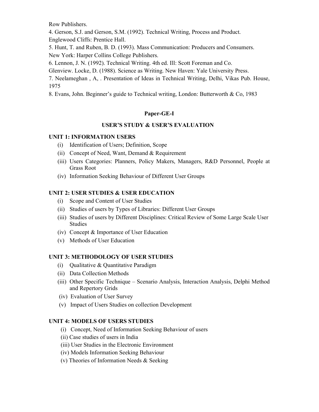Row Publishers.

4. Gerson, S.J. and Gerson, S.M. (1992). Technical Writing, Process and Product. Englewood Cliffs: Prentice Hall.

5. Hunt, T. and Ruben, B. D. (1993). Mass Communication: Producers and Consumers. New York: Harper Collins College Publishers.

6. Lennon, J. N. (1992). Technical Writing. 4th ed. Ill: Scott Foreman and Co.

Glenview. Locke, D. (1988). Science as Writing. New Haven: Yale University Press.

7. Neelameghan , A, . Presentation of Ideas in Technical Writing, Delhi, Vikas Pub. House, 1975

8. Evans, John. Beginner's guide to Technical writing, London: Butterworth & Co, 1983

# **Paper-GE-I**

#### **USER'S STUDY & USER'S EVALUATION**

#### **UNIT 1: INFORMATION USERS**

- (i) Identification of Users; Definition, Scope
- (ii) Concept of Need, Want, Demand & Requirement
- (iii) Users Categories: Planners, Policy Makers, Managers, R&D Personnel, People at Grass Root
- (iv) Information Seeking Behaviour of Different User Groups

# **UNIT 2: USER STUDIES & USER EDUCATION**

- (i) Scope and Content of User Studies
- (ii) Studies of users by Types of Libraries: Different User Groups
- (iii) Studies of users by Different Disciplines: Critical Review of Some Large Scale User Studies
- (iv) Concept & Importance of User Education
- (v) Methods of User Education

#### **UNIT 3: METHODOLOGY OF USER STUDIES**

- $(i)$  Oualitative & Quantitative Paradigm
- (ii) Data Collection Methods
- (iii) Other Specific Technique Scenario Analysis, Interaction Analysis, Delphi Method and Repertory Grids
- (iv) Evaluation of User Survey
- (v) Impact of Users Studies on collection Development

#### **UNIT 4: MODELS OF USERS STUDIES**

- (i) Concept, Need of Information Seeking Behaviour of users
- (ii) Case studies of users in India
- (iii) User Studies in the Electronic Environment
- (iv) Models Information Seeking Behaviour
- (v) Theories of Information Needs & Seeking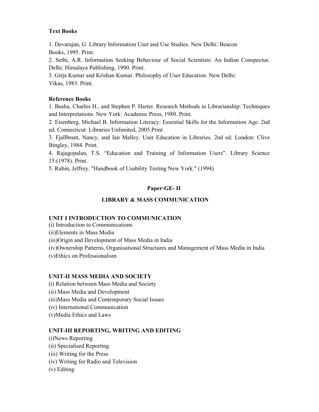# **Text Books**

1. Devarajan, G. Library Information User and Use Studies. New Delhi: Beacon Books, 1995. Print.

2. Sethi, A.R. Information Seeking Behaviour of Social Scientists: An Indian Conspectus. Delhi: Himalaya Publishing, 1990. Print.

3. Girja Kumar and Krishan Kumar. Philosophy of User Education. New Delhi: Vikas, 1983. Print.

# **Reference Books**

1. Busha, Charles H., and Stephen P. Harter. Research Methods in Librarianship: Techniques and Interpretations. New York: Academic Press, 1980. Print.

2. Eisenberg, Michael B. Information Literacy: Essential Skills for the Information Age. 2nd ed. Connecticut: Libraries Unlimited, 2005.Print

3. Fjallbrant, Nancy, and Ian Malley. User Education in Libraries. 2nd ed. London: Clive Bingley, 1984. Print.

4. Rajagopalan, T.S. "Education and Training of Information Users". Library Science 15:(1978). Print.

5. Rubin, Jeffrey. "Handbook of Usability Testing New York." (1994)

# **Paper-GE- II**

# **LIBRARY & MASS COMMUNICATION**

#### **UNIT I INTRODUCTION TO COMMUNICATION**

(i) Introduction to Communications

(ii)Elements in Mass Media

(iii)Origin and Development of Mass Media in India

(iv)Ownership Patterns, Organisational Structures and Management of Mass Media in India

(v)Ethics on Professionalism

# **UNIT-II MASS MEDIA AND SOCIETY**

(i) Relation between Mass Media and Society

(ii) Mass Media and Development

(iii)Mass Media and Contemporary Social Issues

- (iv) International Communication
- (v)Media Ethics and Laws

# **UNIT-III REPORTING, WRITING AND EDITING**

- (i)News Reporting
- (ii) Specialised Reporting
- (iii) Writing for the Press
- (iv) Writing for Radio and Television
- (v) Editing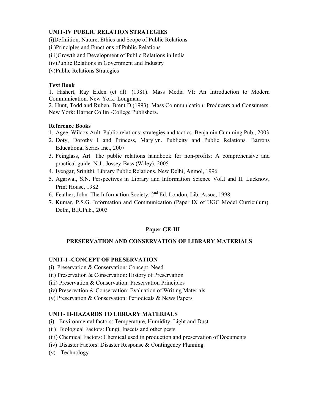#### **UNIT-IV PUBLIC RELATION STRATEGIES**

(i)Definition, Nature, Ethics and Scope of Public Relations

(ii)Principles and Functions of Public Relations

(iii)Growth and Development of Public Relations in India

(iv)Public Relations in Government and Industry

(v)Public Relations Strategies

# **Text Book**

1. Hishert, Ray Elden (et al). (1981). Mass Media VI: An Introduction to Modern Communication. New York: Longman.

2. Hunt, Todd and Ruben, Brent D.(1993). Mass Communication: Producers and Consumers. New York: Harper Collin -College Publishers.

# **Reference Books**

- 1. Agee, Wilcox Ault. Public relations: strategies and tactics. Benjamin Cumming Pub., 2003
- 2. Doty, Dorothy I and Princess, Marylyn. Publicity and Public Relations. Barrons Educational Series Inc., 2007
- 3. Feinglass, Art. The public relations handbook for non-profits: A comprehensive and practical guide. N.J., Jossey-Bass (Wiley). 2005
- 4. Iyengar, Srinithi. Library Public Relations. New Delhi, Anmol, 1996
- 5. Agarwal, S.N. Perspectives in Library and Information Science Vol.I and II. Lucknow, Print House, 1982.
- 6. Feather, John. The Information Society.  $2<sup>nd</sup>$  Ed. London, Lib. Assoc, 1998
- 7. Kumar, P.S.G. Information and Communication (Paper IX of UGC Model Curriculum). Delhi, B.R.Pub., 2003

# **Paper-GE-III**

# **PRESERVATION AND CONSERVATION OF LIBRARY MATERIALS**

#### **UNIT-I -CONCEPT OF PRESERVATION**

- (i) Preservation & Conservation: Concept, Need
- (ii) Preservation & Conservation: History of Preservation
- (iii) Preservation & Conservation: Preservation Principles
- (iv) Preservation & Conservation: Evaluation of Writing Materials
- (v) Preservation & Conservation: Periodicals & News Papers

#### **UNIT- II-HAZARDS TO LIBRARY MATERIALS**

- (i) Environmental factors: Temperature, Humidity, Light and Dust
- (ii) Biological Factors: Fungi, Insects and other pests
- (iii) Chemical Factors: Chemical used in production and preservation of Documents
- (iv) Disaster Factors: Disaster Response & Contingency Planning
- (v) Technology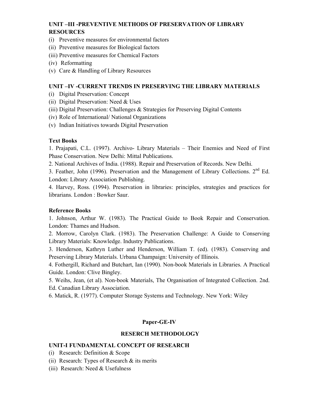# **UNIT –III -PREVENTIVE METHODS OF PRESERVATION OF LIBRARY RESOURCES**

- (i) Preventive measures for environmental factors
- (ii) Preventive measures for Biological factors
- (iii) Preventive measures for Chemical Factors
- (iv) Reformatting
- (v) Care & Handling of Library Resources

#### **UNIT –IV -CURRENT TRENDS IN PRESERVING THE LIBRARY MATERIALS**

- (i) Digital Preservation: Concept
- (ii) Digital Preservation: Need & Uses
- (iii) Digital Preservation: Challenges & Strategies for Preserving Digital Contents
- (iv) Role of International/ National Organizations
- (v) Indian Initiatives towards Digital Preservation

#### **Text Books**

1. Prajapati, C.L. (1997). Archivo- Library Materials – Their Enemies and Need of First Phase Conservation. New Delhi: Mittal Publications.

2. National Archives of India. (1988). Repair and Preservation of Records. New Delhi.

3. Feather, John (1996). Preservation and the Management of Library Collections.  $2<sup>nd</sup>$  Ed. London: Library Association Publishing.

4. Harvey, Ross. (1994). Preservation in libraries: principles, strategies and practices for librarians. London : Bowker Saur.

#### **Reference Books**

1. Johnson, Arthur W. (1983). The Practical Guide to Book Repair and Conservation. London: Thames and Hudson.

2. Morrow, Carolyn Clark. (1983). The Preservation Challenge: A Guide to Conserving Library Materials: Knowledge. Industry Publications.

3. Henderson, Kathryn Luther and Henderson, William T. (ed). (1983). Conserving and Preserving Library Materials. Urbana Champaign: University of Illinois.

4. Fothergill, Richard and Butchart, Ian (1990). Non-book Materials in Libraries. A Practical Guide. London: Clive Bingley.

5. Weihs, Jean, (et al). Non-book Materials, The Organisation of Integrated Collection. 2nd. Ed. Canadian Library Association.

6. Matick, R. (1977). Computer Storage Systems and Technology. New York: Wiley

#### **Paper-GE-IV**

#### **RESERCH METHODOLOGY**

#### **UNIT-I FUNDAMENTAL CONCEPT OF RESEARCH**

- (i) Research: Definition & Scope
- (ii) Research: Types of Research  $\&$  its merits
- (iii) Research: Need & Usefulness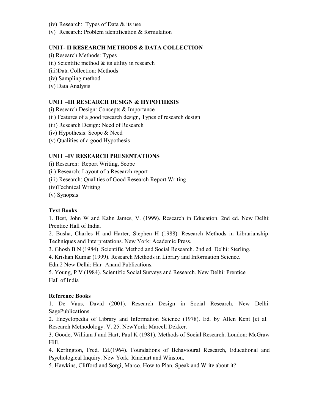- (iv) Research: Types of Data & its use
- (v) Research: Problem identification & formulation

#### **UNIT- II RESEARCH METHODS & DATA COLLECTION**

- (i) Research Methods: Types
- (ii) Scientific method  $\&$  its utility in research
- (iii)Data Collection: Methods
- (iv) Sampling method
- (v) Data Analysis

# **UNIT –III RESEARCH DESIGN & HYPOTHESIS**

(i) Research Design: Concepts & Importance

- (ii) Features of a good research design, Types of research design
- (iii) Research Design: Need of Research
- (iv) Hypothesis: Scope & Need
- (v) Qualities of a good Hypothesis

#### **UNIT –IV RESEARCH PRESENTATIONS**

(i) Research: Report Writing, Scope

(ii) Research: Layout of a Research report

- (iii) Research: Qualities of Good Research Report Writing
- (iv)Technical Writing
- (v) Synopsis

#### **Text Books**

1. Best, John W and Kahn James, V. (1999). Research in Education. 2nd ed. New Delhi: Prentice Hall of India.

2. Busha, Charles H and Harter, Stephen H (1988). Research Methods in Librarianship: Techniques and Interpretations. New York: Academic Press.

3. Ghosh B N (1984). Scientific Method and Social Research. 2nd ed. Delhi: Sterling.

4. Krishan Kumar (1999). Research Methods in Library and Information Science. Edn.2 New Delhi: Har- Anand Publications.

5. Young, P V (1984). Scientific Social Surveys and Research. New Delhi: Prentice Hall of India

#### **Reference Books**

1. De Vaus, David (2001). Research Design in Social Research. New Delhi: SagePublications.

2. Encyclopedia of Library and Information Science (1978). Ed. by Allen Kent [et al.] Research Methodology. V. 25. NewYork: Marcell Dekker.

3. Goode, William J and Hart, Paul K (1981). Methods of Social Research. London: McGraw Hill.

4. Kerlington, Fred. Ed.(1964). Foundations of Behavioural Research, Educational and Psychological Inquiry. New York: Rinehart and Winston.

5. Hawkins, Clifford and Sorgi, Marco. How to Plan, Speak and Write about it?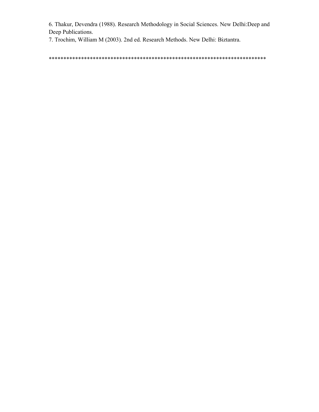6. Thakur, Devendra (1988). Research Methodology in Social Sciences. New Delhi:Deep and Deep Publications.

7. Trochim, William M (2003). 2nd ed. Research Methods. New Delhi: Biztantra.

\*\*\*\*\*\*\*\*\*\*\*\*\*\*\*\*\*\*\*\*\*\*\*\*\*\*\*\*\*\*\*\*\*\*\*\*\*\*\*\*\*\*\*\*\*\*\*\*\*\*\*\*\*\*\*\*\*\*\*\*\*\*\*\*\*\*\*\*\*\*\*\*\*\*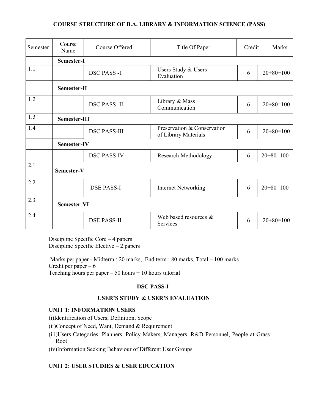#### **COURSE STRUCTURE OF B.A. LIBRARY & INFORMATION SCIENCE (PASS)**

| Semester | Course<br>Name     | Course Offered      | Title Of Paper                                      | Credit | Marks       |  |  |  |  |
|----------|--------------------|---------------------|-----------------------------------------------------|--------|-------------|--|--|--|--|
|          | Semester-I         |                     |                                                     |        |             |  |  |  |  |
| 1.1      |                    | <b>DSC PASS -1</b>  | Users Study & Users<br>Evaluation                   | 6      | $20+80=100$ |  |  |  |  |
|          | Semester-II        |                     |                                                     |        |             |  |  |  |  |
| 1.2      |                    | <b>DSC PASS -II</b> | Library & Mass<br>Communication                     | 6      | $20+80=100$ |  |  |  |  |
| 1.3      | Semester-III       |                     |                                                     |        |             |  |  |  |  |
| 1.4      |                    | <b>DSC PASS-III</b> | Preservation & Conservation<br>of Library Materials | 6      | $20+80=100$ |  |  |  |  |
|          | Semester-IV        |                     |                                                     |        |             |  |  |  |  |
|          |                    | <b>DSC PASS-IV</b>  | <b>Research Methodology</b>                         | 6      | $20+80=100$ |  |  |  |  |
| 2.1      | Semester-V         |                     |                                                     |        |             |  |  |  |  |
| 2.2      |                    | <b>DSE PASS-I</b>   | <b>Internet Networking</b>                          | 6      | $20+80=100$ |  |  |  |  |
| 2.3      | <b>Semester-VI</b> |                     |                                                     |        |             |  |  |  |  |
| 2.4      |                    | <b>DSE PASS-II</b>  | Web based resources $\&$<br>Services                | 6      | $20+80=100$ |  |  |  |  |

Discipline Specific Core – 4 papers Discipline Specific Elective  $-2$  papers

 Marks per paper - Midterm : 20 marks, End term : 80 marks, Total – 100 marks Credit per paper  $-6$ Teaching hours per paper  $-50$  hours  $+10$  hours tutorial

# **DSC PASS-I**

# **USER'S STUDY & USER'S EVALUATION**

### **UNIT 1: INFORMATION USERS**

(i)Identification of Users; Definition, Scope

(ii)Concept of Need, Want, Demand & Requirement

(iii)Users Categories: Planners, Policy Makers, Managers, R&D Personnel, People at Grass Root

(iv)Information Seeking Behaviour of Different User Groups

# **UNIT 2: USER STUDIES & USER EDUCATION**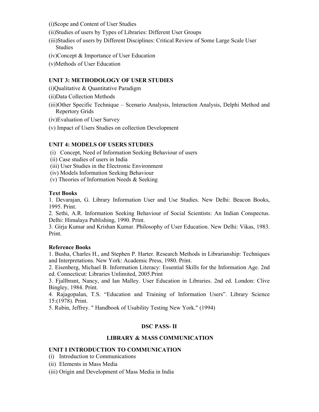(i)Scope and Content of User Studies

(ii)Studies of users by Types of Libraries: Different User Groups

- (iii)Studies of users by Different Disciplines: Critical Review of Some Large Scale User Studies
- (iv)Concept & Importance of User Education
- (v)Methods of User Education

#### **UNIT 3: METHODOLOGY OF USER STUDIES**

(i)Qualitative & Quantitative Paradigm

- (ii)Data Collection Methods
- (iii)Other Specific Technique Scenario Analysis, Interaction Analysis, Delphi Method and Repertory Grids
- (iv)Evaluation of User Survey
- (v) Impact of Users Studies on collection Development

#### **UNIT 4: MODELS OF USERS STUDIES**

- (i) Concept, Need of Information Seeking Behaviour of users
- (ii) Case studies of users in India
- (iii) User Studies in the Electronic Environment
- (iv) Models Information Seeking Behaviour
- (v) Theories of Information Needs & Seeking

#### **Text Books**

1. Devarajan, G. Library Information User and Use Studies. New Delhi: Beacon Books, 1995. Print.

2. Sethi, A.R. Information Seeking Behaviour of Social Scientists: An Indian Conspectus. Delhi: Himalaya Publishing, 1990. Print.

3. Girja Kumar and Krishan Kumar. Philosophy of User Education. New Delhi: Vikas, 1983. Print.

#### **Reference Books**

1. Busha, Charles H., and Stephen P. Harter. Research Methods in Librarianship: Techniques and Interpretations. New York: Academic Press, 1980. Print.

2. Eisenberg, Michael B. Information Literacy: Essential Skills for the Information Age. 2nd ed. Connecticut: Libraries Unlimited, 2005.Print

3. Fjallbrant, Nancy, and Ian Malley. User Education in Libraries. 2nd ed. London: Clive Bingley, 1984. Print.

4. Rajagopalan, T.S. "Education and Training of Information Users". Library Science 15:(1978). Print.

5. Rubin, Jeffrey. " Handbook of Usability Testing New York." (1994)

#### **DSC PASS- II**

#### **LIBRARY & MASS COMMUNICATION**

#### **UNIT I INTRODUCTION TO COMMUNICATION**

- (i) Introduction to Communications
- (ii) Elements in Mass Media
- (iii) Origin and Development of Mass Media in India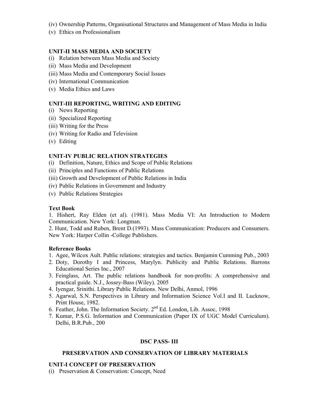- (iv) Ownership Patterns, Organisational Structures and Management of Mass Media in India
- (v) Ethics on Professionalism

### **UNIT-II MASS MEDIA AND SOCIETY**

- (i) Relation between Mass Media and Society
- (ii) Mass Media and Development
- (iii) Mass Media and Contemporary Social Issues
- (iv) International Communication
- (v) Media Ethics and Laws

#### **UNIT-III REPORTING, WRITING AND EDITING**

- (i) News Reporting
- (ii) Specialized Reporting
- (iii) Writing for the Press
- (iv) Writing for Radio and Television
- (v) Editing

#### **UNIT-IV PUBLIC RELATION STRATEGIES**

- (i) Definition, Nature, Ethics and Scope of Public Relations
- (ii) Principles and Functions of Public Relations
- (iii) Growth and Development of Public Relations in India
- (iv) Public Relations in Government and Industry
- (v) Public Relations Strategies

#### **Text Book**

1. Hishert, Ray Elden (et al). (1981). Mass Media VI: An Introduction to Modern Communication. New York: Longman.

2. Hunt, Todd and Ruben, Brent D.(1993). Mass Communication: Producers and Consumers. New York: Harper Collin -College Publishers.

#### **Reference Books**

- 1. Agee, Wilcox Ault. Public relations: strategies and tactics. Benjamin Cumming Pub., 2003
- 2. Doty, Dorothy I and Princess, Marylyn. Publicity and Public Relations. Barrons Educational Series Inc., 2007
- 3. Feinglass, Art. The public relations handbook for non-profits: A comprehensive and practical guide. N.J., Jossey-Bass (Wiley). 2005
- 4. Iyengar, Srinithi. Library Public Relations. New Delhi, Anmol, 1996
- 5. Agarwal, S.N. Perspectives in Library and Information Science Vol.I and II. Lucknow, Print House, 1982.
- 6. Feather, John. The Information Society.  $2<sup>nd</sup>$  Ed. London, Lib. Assoc, 1998
- 7. Kumar, P.S.G. Information and Communication (Paper IX of UGC Model Curriculum). Delhi, B.R.Pub., 200

#### **DSC PASS- III**

#### **PRESERVATION AND CONSERVATION OF LIBRARY MATERIALS**

#### **UNIT-I CONCEPT OF PRESERVATION**

(i) Preservation & Conservation: Concept, Need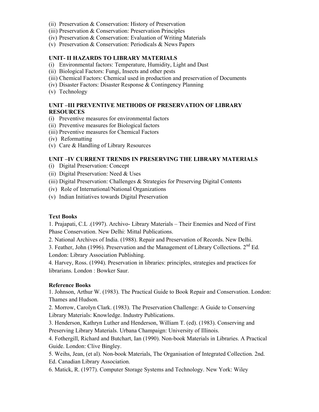- (ii) Preservation & Conservation: History of Preservation
- (iii) Preservation & Conservation: Preservation Principles
- (iv) Preservation & Conservation: Evaluation of Writing Materials
- (v) Preservation & Conservation: Periodicals & News Papers

#### **UNIT- II HAZARDS TO LIBRARY MATERIALS**

- (i) Environmental factors: Temperature, Humidity, Light and Dust
- (ii) Biological Factors: Fungi, Insects and other pests
- (iii) Chemical Factors: Chemical used in production and preservation of Documents
- (iv) Disaster Factors: Disaster Response & Contingency Planning
- (v) Technology

#### **UNIT –III PREVENTIVE METHODS OF PRESERVATION OF LIBRARY RESOURCES**

- (i) Preventive measures for environmental factors
- (ii) Preventive measures for Biological factors
- (iii) Preventive measures for Chemical Factors
- (iv) Reformatting
- (v) Care & Handling of Library Resources

# **UNIT –IV CURRENT TRENDS IN PRESERVING THE LIBRARY MATERIALS**

- (i) Digital Preservation: Concept
- (ii) Digital Preservation: Need & Uses
- (iii) Digital Preservation: Challenges & Strategies for Preserving Digital Contents
- (iv) Role of International/National Organizations
- (v) Indian Initiatives towards Digital Preservation

#### **Text Books**

1. Prajapati, C.L .(1997). Archivo- Library Materials – Their Enemies and Need of First Phase Conservation. New Delhi: Mittal Publications.

2. National Archives of India. (1988). Repair and Preservation of Records. New Delhi.

3. Feather, John (1996). Preservation and the Management of Library Collections.  $2<sup>nd</sup> Ed$ . London: Library Association Publishing.

4. Harvey, Ross. (1994). Preservation in libraries: principles, strategies and practices for librarians. London : Bowker Saur.

#### **Reference Books**

1. Johnson, Arthur W. (1983). The Practical Guide to Book Repair and Conservation. London: Thames and Hudson.

2. Morrow, Carolyn Clark. (1983). The Preservation Challenge: A Guide to Conserving Library Materials: Knowledge. Industry Publications.

3. Henderson, Kathryn Luther and Henderson, William T. (ed). (1983). Conserving and Preserving Library Materials. Urbana Champaign: University of Illinois.

4. Fothergill, Richard and Butchart, Ian (1990). Non-book Materials in Libraries. A Practical Guide. London: Clive Bingley.

5. Weihs, Jean, (et al). Non-book Materials, The Organisation of Integrated Collection. 2nd. Ed. Canadian Library Association.

6. Matick, R. (1977). Computer Storage Systems and Technology. New York: Wiley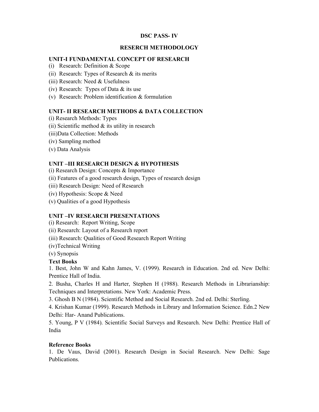#### **DSC PASS- IV**

#### **RESERCH METHODOLOGY**

#### **UNIT-I FUNDAMENTAL CONCEPT OF RESEARCH**

- (i) Research: Definition & Scope
- (ii) Research: Types of Research & its merits
- (iii) Research: Need & Usefulness
- (iv) Research: Types of Data & its use
- (v) Research: Problem identification & formulation

#### **UNIT- II RESEARCH METHODS & DATA COLLECTION**

- (i) Research Methods: Types
- (ii) Scientific method  $&$  its utility in research
- (iii)Data Collection: Methods
- (iv) Sampling method
- (v) Data Analysis

#### **UNIT –III RESEARCH DESIGN & HYPOTHESIS**

- (i) Research Design: Concepts & Importance
- (ii) Features of a good research design, Types of research design
- (iii) Research Design: Need of Research
- (iv) Hypothesis: Scope & Need
- (v) Qualities of a good Hypothesis

#### **UNIT –IV RESEARCH PRESENTATIONS**

- (i) Research: Report Writing, Scope
- (ii) Research: Layout of a Research report
- (iii) Research: Qualities of Good Research Report Writing
- (iv)Technical Writing
- (v) Synopsis

#### **Text Books**

1. Best, John W and Kahn James, V. (1999). Research in Education. 2nd ed. New Delhi: Prentice Hall of India.

2. Busha, Charles H and Harter, Stephen H (1988). Research Methods in Librarianship: Techniques and Interpretations. New York: Academic Press.

3. Ghosh B N (1984). Scientific Method and Social Research. 2nd ed. Delhi: Sterling.

4. Krishan Kumar (1999). Research Methods in Library and Information Science. Edn.2 New Delhi: Har- Anand Publications.

5. Young, P V (1984). Scientific Social Surveys and Research. New Delhi: Prentice Hall of India

#### **Reference Books**

1. De Vaus, David (2001). Research Design in Social Research. New Delhi: Sage Publications.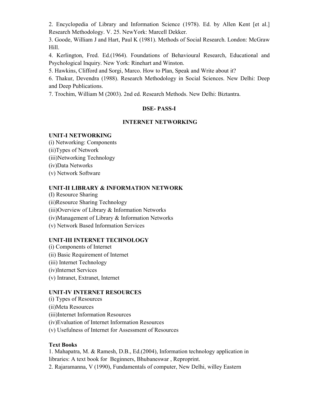2. Encyclopedia of Library and Information Science (1978). Ed. by Allen Kent [et al.] Research Methodology. V. 25. NewYork: Marcell Dekker.

3. Goode, William J and Hart, Paul K (1981). Methods of Social Research. London: McGraw Hill.

4. Kerlington, Fred. Ed.(1964). Foundations of Behavioural Research, Educational and Psychological Inquiry. New York: Rinehart and Winston.

5. Hawkins, Clifford and Sorgi, Marco. How to Plan, Speak and Write about it?

6. Thakur, Devendra (1988). Research Methodology in Social Sciences. New Delhi: Deep and Deep Publications.

7. Trochim, William M (2003). 2nd ed. Research Methods. New Delhi: Biztantra.

# **DSE- PASS-I**

# **INTERNET NETWORKING**

# **UNIT-I NETWORKING**

(i) Networking: Components (ii)Types of Network (iii)Networking Technology (iv)Data Networks (v) Network Software

# **UNIT-II LIBRARY & INFORMATION NETWORK**

(I) Resource Sharing (ii)Resource Sharing Technology (iii)Overview of Library & Information Networks (iv)Management of Library & Information Networks (v) Network Based Information Services

# **UNIT-III INTERNET TECHNOLOGY**

(i) Components of Internet (ii) Basic Requirement of Internet (iii) Internet Technology (iv)Internet Services (v) Intranet, Extranet, Internet

# **UNIT-IV INTERNET RESOURCES**

(i) Types of Resources

- (ii)Meta Resources
- (iii)Internet Information Resources
- (iv)Evaluation of Internet Information Resources
- (v) Usefulness of Internet for Assessment of Resources

# **Text Books**

1. Mahapatra, M. & Ramesh, D.B., Ed.(2004), Information technology application in libraries: A text book for Beginners, Bhubaneswar , Reproprint. 2. Rajaramanna, V (1990), Fundamentals of computer, New Delhi, willey Eastern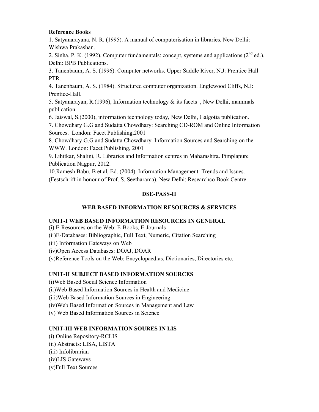#### **Reference Books**

1. Satyanarayana, N. R. (1995). A manual of computerisation in libraries. New Delhi: Wishwa Prakashan.

2. Sinha, P. K. (1992). Computer fundamentals: concept, systems and applications  $(2^{nd}$  ed.). Delhi: BPB Publications.

3. Tanenbaum, A. S. (1996). Computer networks. Upper Saddle River, N.J: Prentice Hall PTR.

4. Tanenbaum, A. S. (1984). Structured computer organization. Englewood Cliffs, N.J: Prentice-Hall.

5. Satyanarayan, R.(1996), Information technology & its facets , New Delhi, mammals publication.

6. Jaiswal, S.(2000), information technology today, New Delhi, Galgotia publication.

7. Chowdhary G.G and Sudatta Chowdhary: Searching CD-ROM and Online Information Sources. London: Facet Publishing,2001

8. Chowdhary G.G and Sudatta Chowdhary. Information Sources and Searching on the WWW. London: Facet Publishing, 2001

9. Lihitkar, Shalini, R. Libraries and Information centres in Maharashtra. Pimplapure Publication Nagpur, 2012.

10.Ramesh Babu, B et al, Ed. (2004). Information Management: Trends and Issues. (Festschrift in honour of Prof. S. Seetharama). New Delhi: Researchco Book Centre.

# **DSE-PASS-II**

# **WEB BASED INFORMATION RESOURCES & SERVICES**

#### **UNIT-I WEB BASED INFORMATION RESOURCES IN GENERAL**

(i) E-Resources on the Web: E-Books, E-Journals (ii)E-Databases: Bibliographic, Full Text, Numeric, Citation Searching (iii) Information Gateways on Web (iv)Open Access Databases: DOAJ, DOAR (v)Reference Tools on the Web: Encyclopaedias, Dictionaries, Directories etc.

#### **UNIT-II SUBJECT BASED INFORMATION SOURCES**

(i)Web Based Social Science Information

(ii)Web Based Information Sources in Health and Medicine

(iii)Web Based Information Sources in Engineering

(iv)Web Based Information Sources in Management and Law

(v) Web Based Information Sources in Science

#### **UNIT-III WEB INFORMATION SOURES IN LIS**

(i) Online Repository-RCLIS (ii) Abstracts: LISA, LISTA (iii) Infolibrarian (iv)LIS Gateways (v)Full Text Sources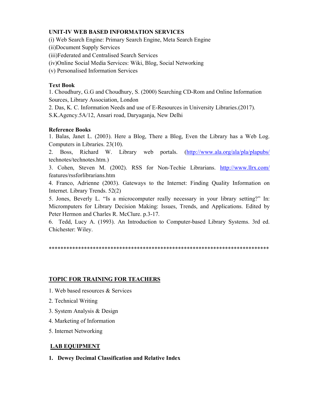#### **UNIT-IV WEB BASED INFORMATION SERVICES**

(i) Web Search Engine: Primary Search Engine, Meta Search Engine

(ii)Document Supply Services

(iii)Federated and Centralised Search Services

(iv)Online Social Media Services: Wiki, Blog, Social Networking

(v) Personalised Information Services

# **Text Book**

1. Choudhury, G.G and Choudhury, S. (2000) Searching CD-Rom and Online Information Sources, Library Association, London

2. Das, K. C. Information Needs and use of E-Resources in University Libraries.(2017).

S.K.Agency.5A/12, Ansari road, Daryaganja, New Delhi

# **Reference Books**

1. Balas, Janet L. (2003). Here a Blog, There a Blog, Even the Library has a Web Log. Computers in Libraries. 23(10).

2. Boss, Richard W. Library web portals. (http://www.ala.org/ala/pla/plapubs/ technotes/technotes.htm.)

3. Cohen, Steven M. (2002). RSS for Non-Techie Librarians. http://www.llrx.com/ features/rssforlibrarians.htm

4. Franco, Adrienne (2003). Gateways to the Internet: Finding Quality Information on Internet. Library Trends. 52(2)

5. Jones, Beverly L. "Is a microcomputer really necessary in your library setting?" In: Micromputers for Library Decision Making: Issues, Trends, and Applications. Edited by Peter Hermon and Charles R. McClure. p.3-17.

6. Tedd, Lucy A. (1993). An Introduction to Computer-based Library Systems. 3rd ed. Chichester: Wiley.

\*\*\*\*\*\*\*\*\*\*\*\*\*\*\*\*\*\*\*\*\*\*\*\*\*\*\*\*\*\*\*\*\*\*\*\*\*\*\*\*\*\*\*\*\*\*\*\*\*\*\*\*\*\*\*\*\*\*\*\*\*\*\*\*\*\*\*\*\*\*\*\*\*\*\*

# **TOPIC FOR TRAINING FOR TEACHERS**

- 1. Web based resources & Services
- 2. Technical Writing
- 3. System Analysis & Design
- 4. Marketing of Information
- 5. Internet Networking

#### **LAB EQUIPMENT**

**1. Dewey Decimal Classification and Relative Index**